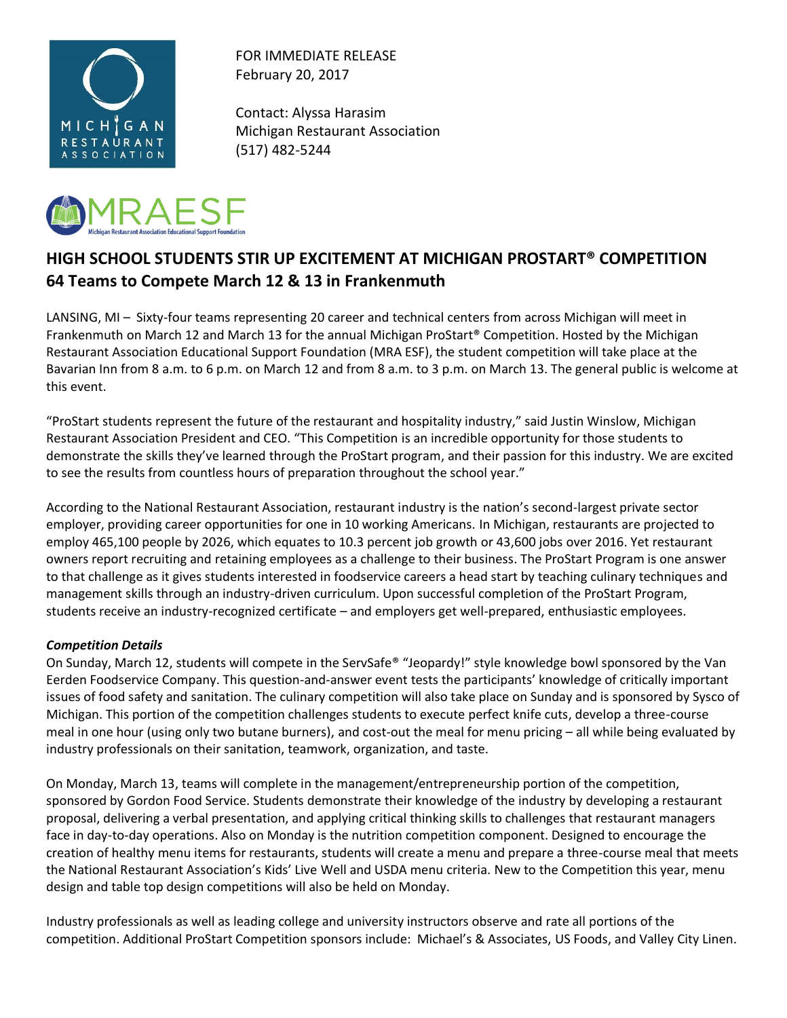

FOR IMMEDIATE RELEASE February 20, 2017

Contact: Alyssa Harasim Michigan Restaurant Association (517) 482-5244



## **HIGH SCHOOL STUDENTS STIR UP EXCITEMENT AT MICHIGAN PROSTART® COMPETITION 64 Teams to Compete March 12 & 13 in Frankenmuth**

LANSING, MI – Sixty-four teams representing 20 career and technical centers from across Michigan will meet in Frankenmuth on March 12 and March 13 for the annual Michigan ProStart® Competition. Hosted by the Michigan Restaurant Association Educational Support Foundation (MRA ESF), the student competition will take place at the Bavarian Inn from 8 a.m. to 6 p.m. on March 12 and from 8 a.m. to 3 p.m. on March 13. The general public is welcome at this event.

"ProStart students represent the future of the restaurant and hospitality industry," said Justin Winslow, Michigan Restaurant Association President and CEO. "This Competition is an incredible opportunity for those students to demonstrate the skills they've learned through the ProStart program, and their passion for this industry. We are excited to see the results from countless hours of preparation throughout the school year."

According to the National Restaurant Association, restaurant industry is the nation's second-largest private sector employer, providing career opportunities for one in 10 working Americans. In Michigan, restaurants are projected to employ 465,100 people by 2026, which equates to 10.3 percent job growth or 43,600 jobs over 2016. Yet restaurant owners report recruiting and retaining employees as a challenge to their business. The ProStart Program is one answer to that challenge as it gives students interested in foodservice careers a head start by teaching culinary techniques and management skills through an industry-driven curriculum. Upon successful completion of the ProStart Program, students receive an industry-recognized certificate – and employers get well-prepared, enthusiastic employees.

## *Competition Details*

On Sunday, March 12, students will compete in the ServSafe® "Jeopardy!" style knowledge bowl sponsored by the Van Eerden Foodservice Company. This question-and-answer event tests the participants' knowledge of critically important issues of food safety and sanitation. The culinary competition will also take place on Sunday and is sponsored by Sysco of Michigan. This portion of the competition challenges students to execute perfect knife cuts, develop a three-course meal in one hour (using only two butane burners), and cost-out the meal for menu pricing – all while being evaluated by industry professionals on their sanitation, teamwork, organization, and taste.

On Monday, March 13, teams will complete in the management/entrepreneurship portion of the competition, sponsored by Gordon Food Service. Students demonstrate their knowledge of the industry by developing a restaurant proposal, delivering a verbal presentation, and applying critical thinking skills to challenges that restaurant managers face in day-to-day operations. Also on Monday is the nutrition competition component. Designed to encourage the creation of healthy menu items for restaurants, students will create a menu and prepare a three-course meal that meets the National Restaurant Association's Kids' Live Well and USDA menu criteria. New to the Competition this year, menu design and table top design competitions will also be held on Monday.

Industry professionals as well as leading college and university instructors observe and rate all portions of the competition. Additional ProStart Competition sponsors include: Michael's & Associates, US Foods, and Valley City Linen.